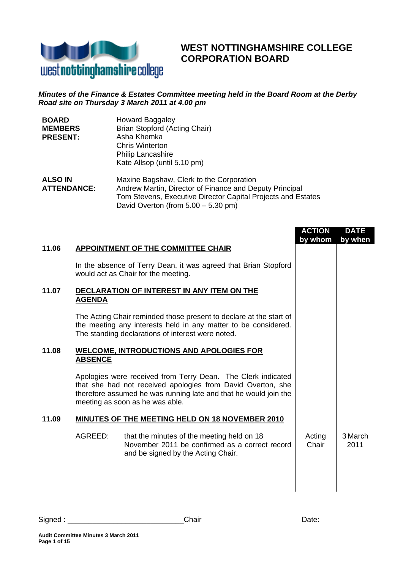

## **WEST NOTTINGHAMSHIRE COLLEGE CORPORATION BOARD**

## *Minutes of the Finance & Estates Committee meeting held in the Board Room at the Derby Road site on Thursday 3 March 2011 at 4.00 pm*

| <b>BOARD</b>       | <b>Howard Baggaley</b>                                       |
|--------------------|--------------------------------------------------------------|
| <b>MEMBERS</b>     | Brian Stopford (Acting Chair)                                |
| <b>PRESENT:</b>    | Asha Khemka                                                  |
|                    | <b>Chris Winterton</b>                                       |
|                    | <b>Philip Lancashire</b>                                     |
|                    | Kate Allsop (until 5.10 pm)                                  |
| <b>ALSO IN</b>     | Maxine Bagshaw, Clerk to the Corporation                     |
| <b>ATTENDANCE:</b> | Andrew Martin, Director of Finance and Deputy Principal      |
|                    | Tom Stevens, Executive Director Capital Projects and Estates |
|                    | David Overton (from $5.00 - 5.30$ pm)                        |

|       |                |                                                                                                                                                                                                                                    | <b>ACTION</b><br>by whom | <b>DATE</b><br>by when |
|-------|----------------|------------------------------------------------------------------------------------------------------------------------------------------------------------------------------------------------------------------------------------|--------------------------|------------------------|
| 11.06 |                | <b>APPOINTMENT OF THE COMMITTEE CHAIR</b>                                                                                                                                                                                          |                          |                        |
|       |                | In the absence of Terry Dean, it was agreed that Brian Stopford<br>would act as Chair for the meeting.                                                                                                                             |                          |                        |
| 11.07 | <b>AGENDA</b>  | DECLARATION OF INTEREST IN ANY ITEM ON THE                                                                                                                                                                                         |                          |                        |
|       |                | The Acting Chair reminded those present to declare at the start of<br>the meeting any interests held in any matter to be considered.<br>The standing declarations of interest were noted.                                          |                          |                        |
| 11.08 | <b>ABSENCE</b> | <b>WELCOME, INTRODUCTIONS AND APOLOGIES FOR</b>                                                                                                                                                                                    |                          |                        |
|       |                | Apologies were received from Terry Dean. The Clerk indicated<br>that she had not received apologies from David Overton, she<br>therefore assumed he was running late and that he would join the<br>meeting as soon as he was able. |                          |                        |
| 11.09 |                | <b>MINUTES OF THE MEETING HELD ON 18 NOVEMBER 2010</b>                                                                                                                                                                             |                          |                        |
|       | AGREED:        | that the minutes of the meeting held on 18<br>November 2011 be confirmed as a correct record<br>and be signed by the Acting Chair.                                                                                                 | Acting<br>Chair          | 3 March<br>2011        |
|       |                |                                                                                                                                                                                                                                    |                          |                        |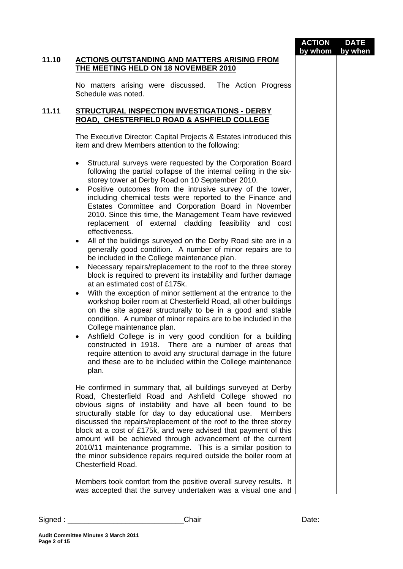|          |                                                                                                                                                                                                                                                                                                                                                                                                                                                                                                                                                                                                                                                                                                                                                                                                                                                                                                                                                                                                                                                                                                                                                                                                                                                                                                                                                                                                                                                                          | <b>ACTION</b><br>by whom | <b>DATE</b><br>by when |
|----------|--------------------------------------------------------------------------------------------------------------------------------------------------------------------------------------------------------------------------------------------------------------------------------------------------------------------------------------------------------------------------------------------------------------------------------------------------------------------------------------------------------------------------------------------------------------------------------------------------------------------------------------------------------------------------------------------------------------------------------------------------------------------------------------------------------------------------------------------------------------------------------------------------------------------------------------------------------------------------------------------------------------------------------------------------------------------------------------------------------------------------------------------------------------------------------------------------------------------------------------------------------------------------------------------------------------------------------------------------------------------------------------------------------------------------------------------------------------------------|--------------------------|------------------------|
| 11.10    | <b>ACTIONS OUTSTANDING AND MATTERS ARISING FROM</b><br><b>THE MEETING HELD ON 18 NOVEMBER 2010</b>                                                                                                                                                                                                                                                                                                                                                                                                                                                                                                                                                                                                                                                                                                                                                                                                                                                                                                                                                                                                                                                                                                                                                                                                                                                                                                                                                                       |                          |                        |
|          | No matters arising were discussed. The Action Progress<br>Schedule was noted.                                                                                                                                                                                                                                                                                                                                                                                                                                                                                                                                                                                                                                                                                                                                                                                                                                                                                                                                                                                                                                                                                                                                                                                                                                                                                                                                                                                            |                          |                        |
| 11.11    | <b>STRUCTURAL INSPECTION INVESTIGATIONS - DERBY</b><br>ROAD, CHESTERFIELD ROAD & ASHFIELD COLLEGE                                                                                                                                                                                                                                                                                                                                                                                                                                                                                                                                                                                                                                                                                                                                                                                                                                                                                                                                                                                                                                                                                                                                                                                                                                                                                                                                                                        |                          |                        |
|          | The Executive Director: Capital Projects & Estates introduced this<br>item and drew Members attention to the following:                                                                                                                                                                                                                                                                                                                                                                                                                                                                                                                                                                                                                                                                                                                                                                                                                                                                                                                                                                                                                                                                                                                                                                                                                                                                                                                                                  |                          |                        |
|          | Structural surveys were requested by the Corporation Board<br>following the partial collapse of the internal ceiling in the six-<br>storey tower at Derby Road on 10 September 2010.<br>Positive outcomes from the intrusive survey of the tower,<br>including chemical tests were reported to the Finance and<br>Estates Committee and Corporation Board in November<br>2010. Since this time, the Management Team have reviewed<br>replacement of external cladding feasibility and cost<br>effectiveness.<br>All of the buildings surveyed on the Derby Road site are in a<br>$\bullet$<br>generally good condition. A number of minor repairs are to<br>be included in the College maintenance plan.<br>Necessary repairs/replacement to the roof to the three storey<br>$\bullet$<br>block is required to prevent its instability and further damage<br>at an estimated cost of £175k.<br>With the exception of minor settlement at the entrance to the<br>$\bullet$<br>workshop boiler room at Chesterfield Road, all other buildings<br>on the site appear structurally to be in a good and stable<br>condition. A number of minor repairs are to be included in the<br>College maintenance plan.<br>Ashfield College is in very good condition for a building<br>constructed in 1918. There are a number of areas that<br>require attention to avoid any structural damage in the future<br>and these are to be included within the College maintenance<br>plan. |                          |                        |
|          | He confirmed in summary that, all buildings surveyed at Derby<br>Road, Chesterfield Road and Ashfield College showed no<br>obvious signs of instability and have all been found to be<br>structurally stable for day to day educational use.<br><b>Members</b><br>discussed the repairs/replacement of the roof to the three storey<br>block at a cost of £175k, and were advised that payment of this<br>amount will be achieved through advancement of the current<br>2010/11 maintenance programme. This is a similar position to<br>the minor subsidence repairs required outside the boiler room at<br>Chesterfield Road.                                                                                                                                                                                                                                                                                                                                                                                                                                                                                                                                                                                                                                                                                                                                                                                                                                           |                          |                        |
|          | Members took comfort from the positive overall survey results. It<br>was accepted that the survey undertaken was a visual one and                                                                                                                                                                                                                                                                                                                                                                                                                                                                                                                                                                                                                                                                                                                                                                                                                                                                                                                                                                                                                                                                                                                                                                                                                                                                                                                                        |                          |                        |
| Signed : | Chair                                                                                                                                                                                                                                                                                                                                                                                                                                                                                                                                                                                                                                                                                                                                                                                                                                                                                                                                                                                                                                                                                                                                                                                                                                                                                                                                                                                                                                                                    | Date:                    |                        |

**Page 2 of 15**

**Audit Committee Minutes 3 March 2011**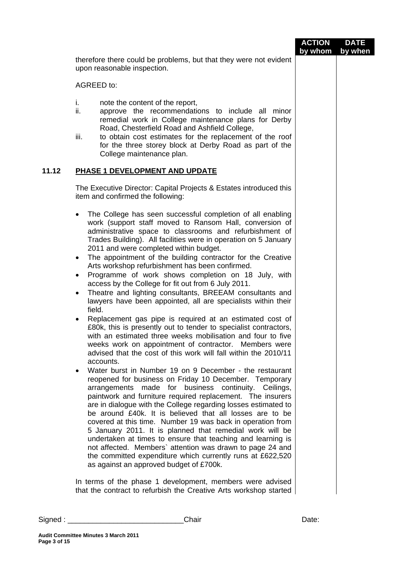|       |                                                                                                                                                                                                                                                                                                                                                                                                                                                                                                                                                                                                                                                                                                                                                                                                                                                                                                                                                                                                                                                                                                                                                                                                                                                                                                                                                                                                                                                                                                                                                                                                                                                                                                                                                                                                                                                  | <b>ACTION</b><br>by whom | <b>DATE</b><br>by when |
|-------|--------------------------------------------------------------------------------------------------------------------------------------------------------------------------------------------------------------------------------------------------------------------------------------------------------------------------------------------------------------------------------------------------------------------------------------------------------------------------------------------------------------------------------------------------------------------------------------------------------------------------------------------------------------------------------------------------------------------------------------------------------------------------------------------------------------------------------------------------------------------------------------------------------------------------------------------------------------------------------------------------------------------------------------------------------------------------------------------------------------------------------------------------------------------------------------------------------------------------------------------------------------------------------------------------------------------------------------------------------------------------------------------------------------------------------------------------------------------------------------------------------------------------------------------------------------------------------------------------------------------------------------------------------------------------------------------------------------------------------------------------------------------------------------------------------------------------------------------------|--------------------------|------------------------|
|       | therefore there could be problems, but that they were not evident<br>upon reasonable inspection.                                                                                                                                                                                                                                                                                                                                                                                                                                                                                                                                                                                                                                                                                                                                                                                                                                                                                                                                                                                                                                                                                                                                                                                                                                                                                                                                                                                                                                                                                                                                                                                                                                                                                                                                                 |                          |                        |
|       | AGREED to:                                                                                                                                                                                                                                                                                                                                                                                                                                                                                                                                                                                                                                                                                                                                                                                                                                                                                                                                                                                                                                                                                                                                                                                                                                                                                                                                                                                                                                                                                                                                                                                                                                                                                                                                                                                                                                       |                          |                        |
|       | i.<br>note the content of the report,<br>ii.<br>approve the recommendations to include all minor<br>remedial work in College maintenance plans for Derby<br>Road, Chesterfield Road and Ashfield College,<br>to obtain cost estimates for the replacement of the roof<br>iii.<br>for the three storey block at Derby Road as part of the<br>College maintenance plan.                                                                                                                                                                                                                                                                                                                                                                                                                                                                                                                                                                                                                                                                                                                                                                                                                                                                                                                                                                                                                                                                                                                                                                                                                                                                                                                                                                                                                                                                            |                          |                        |
| 11.12 | PHASE 1 DEVELOPMENT AND UPDATE                                                                                                                                                                                                                                                                                                                                                                                                                                                                                                                                                                                                                                                                                                                                                                                                                                                                                                                                                                                                                                                                                                                                                                                                                                                                                                                                                                                                                                                                                                                                                                                                                                                                                                                                                                                                                   |                          |                        |
|       | The Executive Director: Capital Projects & Estates introduced this<br>item and confirmed the following:                                                                                                                                                                                                                                                                                                                                                                                                                                                                                                                                                                                                                                                                                                                                                                                                                                                                                                                                                                                                                                                                                                                                                                                                                                                                                                                                                                                                                                                                                                                                                                                                                                                                                                                                          |                          |                        |
|       | The College has seen successful completion of all enabling<br>work (support staff moved to Ransom Hall, conversion of<br>administrative space to classrooms and refurbishment of<br>Trades Building). All facilities were in operation on 5 January<br>2011 and were completed within budget.<br>The appointment of the building contractor for the Creative<br>$\bullet$<br>Arts workshop refurbishment has been confirmed.<br>Programme of work shows completion on 18 July, with<br>access by the College for fit out from 6 July 2011.<br>Theatre and lighting consultants, BREEAM consultants and<br>٠<br>lawyers have been appointed, all are specialists within their<br>field.<br>Replacement gas pipe is required at an estimated cost of<br>£80k, this is presently out to tender to specialist contractors,<br>with an estimated three weeks mobilisation and four to five<br>weeks work on appointment of contractor. Members were<br>advised that the cost of this work will fall within the 2010/11<br>accounts.<br>Water burst in Number 19 on 9 December - the restaurant<br>$\bullet$<br>reopened for business on Friday 10 December. Temporary<br>arrangements made for business continuity. Ceilings,<br>paintwork and furniture required replacement. The insurers<br>are in dialogue with the College regarding losses estimated to<br>be around £40k. It is believed that all losses are to be<br>covered at this time. Number 19 was back in operation from<br>5 January 2011. It is planned that remedial work will be<br>undertaken at times to ensure that teaching and learning is<br>not affected. Members` attention was drawn to page 24 and<br>the committed expenditure which currently runs at £622,520<br>as against an approved budget of £700k.<br>In terms of the phase 1 development, members were advised |                          |                        |
|       | that the contract to refurbish the Creative Arts workshop started                                                                                                                                                                                                                                                                                                                                                                                                                                                                                                                                                                                                                                                                                                                                                                                                                                                                                                                                                                                                                                                                                                                                                                                                                                                                                                                                                                                                                                                                                                                                                                                                                                                                                                                                                                                |                          |                        |

Signed : \_\_\_\_\_\_\_\_\_\_\_\_\_\_\_\_\_\_\_\_\_\_\_\_\_\_\_\_Chair Date: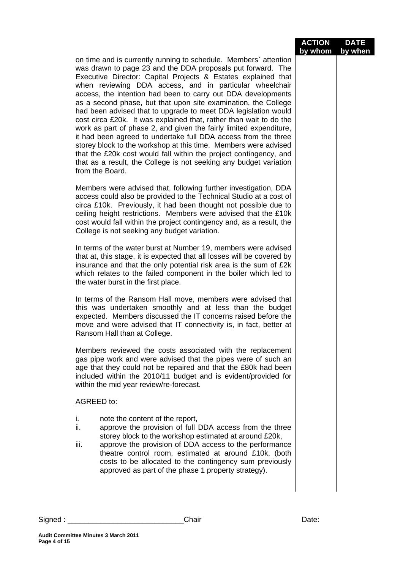|                                                                                                                                                                                                                                                                                                                                                                                                                                                                                                                                                                                                                                                                                                                                                                                                                                                                                                               | <b>ACTION</b><br>by whom | <b>DATE</b><br>by when |
|---------------------------------------------------------------------------------------------------------------------------------------------------------------------------------------------------------------------------------------------------------------------------------------------------------------------------------------------------------------------------------------------------------------------------------------------------------------------------------------------------------------------------------------------------------------------------------------------------------------------------------------------------------------------------------------------------------------------------------------------------------------------------------------------------------------------------------------------------------------------------------------------------------------|--------------------------|------------------------|
| on time and is currently running to schedule. Members' attention<br>was drawn to page 23 and the DDA proposals put forward. The<br>Executive Director: Capital Projects & Estates explained that<br>when reviewing DDA access, and in particular wheelchair<br>access, the intention had been to carry out DDA developments<br>as a second phase, but that upon site examination, the College<br>had been advised that to upgrade to meet DDA legislation would<br>cost circa £20k. It was explained that, rather than wait to do the<br>work as part of phase 2, and given the fairly limited expenditure,<br>it had been agreed to undertake full DDA access from the three<br>storey block to the workshop at this time. Members were advised<br>that the £20k cost would fall within the project contingency, and<br>that as a result, the College is not seeking any budget variation<br>from the Board. |                          |                        |
| Members were advised that, following further investigation, DDA<br>access could also be provided to the Technical Studio at a cost of<br>circa £10k. Previously, it had been thought not possible due to<br>ceiling height restrictions. Members were advised that the £10k<br>cost would fall within the project contingency and, as a result, the<br>College is not seeking any budget variation.                                                                                                                                                                                                                                                                                                                                                                                                                                                                                                           |                          |                        |
| In terms of the water burst at Number 19, members were advised<br>that at, this stage, it is expected that all losses will be covered by<br>insurance and that the only potential risk area is the sum of £2k<br>which relates to the failed component in the boiler which led to<br>the water burst in the first place.                                                                                                                                                                                                                                                                                                                                                                                                                                                                                                                                                                                      |                          |                        |
| In terms of the Ransom Hall move, members were advised that<br>this was undertaken smoothly and at less than the budget<br>expected. Members discussed the IT concerns raised before the<br>move and were advised that IT connectivity is, in fact, better at<br>Ransom Hall than at College.                                                                                                                                                                                                                                                                                                                                                                                                                                                                                                                                                                                                                 |                          |                        |
| Members reviewed the costs associated with the replacement<br>gas pipe work and were advised that the pipes were of such an<br>age that they could not be repaired and that the £80k had been<br>included within the 2010/11 budget and is evident/provided for<br>within the mid year review/re-forecast.                                                                                                                                                                                                                                                                                                                                                                                                                                                                                                                                                                                                    |                          |                        |
| AGREED to:                                                                                                                                                                                                                                                                                                                                                                                                                                                                                                                                                                                                                                                                                                                                                                                                                                                                                                    |                          |                        |
| note the content of the report,<br>İ.<br>ii.<br>approve the provision of full DDA access from the three<br>storey block to the workshop estimated at around £20k,<br>iii.<br>approve the provision of DDA access to the performance<br>theatre control room, estimated at around £10k, (both<br>costs to be allocated to the contingency sum previously<br>approved as part of the phase 1 property strategy).                                                                                                                                                                                                                                                                                                                                                                                                                                                                                                |                          |                        |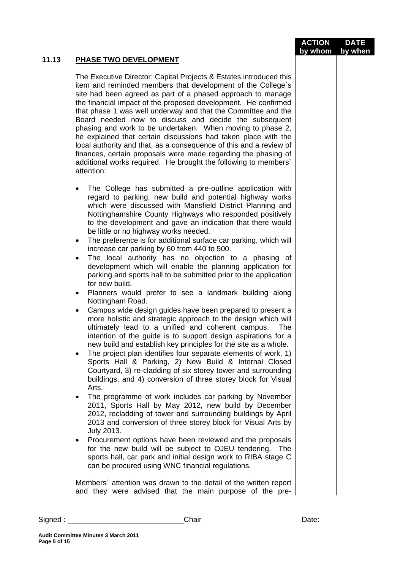|       |                                                                                                                                                                                                                                                                                                                                                                                                                                                                                                                                                                                                                                                                                                                                                                                                                                                                                                                                                                                                                                                                                                                                                                                                                                                                                                                                                                                                                                                                                                                                                                                                                                                                                                                                                                                                                                                                                                                                                             | <b>ACTION</b> | <b>DATE</b> |
|-------|-------------------------------------------------------------------------------------------------------------------------------------------------------------------------------------------------------------------------------------------------------------------------------------------------------------------------------------------------------------------------------------------------------------------------------------------------------------------------------------------------------------------------------------------------------------------------------------------------------------------------------------------------------------------------------------------------------------------------------------------------------------------------------------------------------------------------------------------------------------------------------------------------------------------------------------------------------------------------------------------------------------------------------------------------------------------------------------------------------------------------------------------------------------------------------------------------------------------------------------------------------------------------------------------------------------------------------------------------------------------------------------------------------------------------------------------------------------------------------------------------------------------------------------------------------------------------------------------------------------------------------------------------------------------------------------------------------------------------------------------------------------------------------------------------------------------------------------------------------------------------------------------------------------------------------------------------------------|---------------|-------------|
| 11.13 | <b>PHASE TWO DEVELOPMENT</b>                                                                                                                                                                                                                                                                                                                                                                                                                                                                                                                                                                                                                                                                                                                                                                                                                                                                                                                                                                                                                                                                                                                                                                                                                                                                                                                                                                                                                                                                                                                                                                                                                                                                                                                                                                                                                                                                                                                                | by whom       | by when     |
|       | The Executive Director: Capital Projects & Estates introduced this<br>item and reminded members that development of the College's<br>site had been agreed as part of a phased approach to manage<br>the financial impact of the proposed development. He confirmed<br>that phase 1 was well underway and that the Committee and the<br>Board needed now to discuss and decide the subsequent<br>phasing and work to be undertaken. When moving to phase 2,<br>he explained that certain discussions had taken place with the<br>local authority and that, as a consequence of this and a review of<br>finances, certain proposals were made regarding the phasing of<br>additional works required. He brought the following to members`<br>attention:                                                                                                                                                                                                                                                                                                                                                                                                                                                                                                                                                                                                                                                                                                                                                                                                                                                                                                                                                                                                                                                                                                                                                                                                       |               |             |
|       | The College has submitted a pre-outline application with<br>٠<br>regard to parking, new build and potential highway works<br>which were discussed with Mansfield District Planning and<br>Nottinghamshire County Highways who responded positively<br>to the development and gave an indication that there would<br>be little or no highway works needed.<br>The preference is for additional surface car parking, which will<br>$\bullet$<br>increase car parking by 60 from 440 to 500.<br>The local authority has no objection to a phasing of<br>$\bullet$<br>development which will enable the planning application for<br>parking and sports hall to be submitted prior to the application<br>for new build.<br>Planners would prefer to see a landmark building along<br>٠<br>Nottingham Road.<br>Campus wide design guides have been prepared to present a<br>$\bullet$<br>more holistic and strategic approach to the design which will<br>ultimately lead to a unified and coherent campus.<br><b>The</b><br>intention of the guide is to support design aspirations for a<br>new build and establish key principles for the site as a whole.<br>The project plan identifies four separate elements of work, 1)<br>٠<br>Sports Hall & Parking, 2) New Build & Internal Closed<br>Courtyard, 3) re-cladding of six storey tower and surrounding<br>buildings, and 4) conversion of three storey block for Visual<br>Arts.<br>The programme of work includes car parking by November<br>2011, Sports Hall by May 2012, new build by December<br>2012, recladding of tower and surrounding buildings by April<br>2013 and conversion of three storey block for Visual Arts by<br><b>July 2013.</b><br>Procurement options have been reviewed and the proposals<br>٠<br>for the new build will be subject to OJEU tendering. The<br>sports hall, car park and initial design work to RIBA stage C<br>can be procured using WNC financial regulations. |               |             |
|       | Members' attention was drawn to the detail of the written report<br>and they were advised that the main purpose of the pre-                                                                                                                                                                                                                                                                                                                                                                                                                                                                                                                                                                                                                                                                                                                                                                                                                                                                                                                                                                                                                                                                                                                                                                                                                                                                                                                                                                                                                                                                                                                                                                                                                                                                                                                                                                                                                                 |               |             |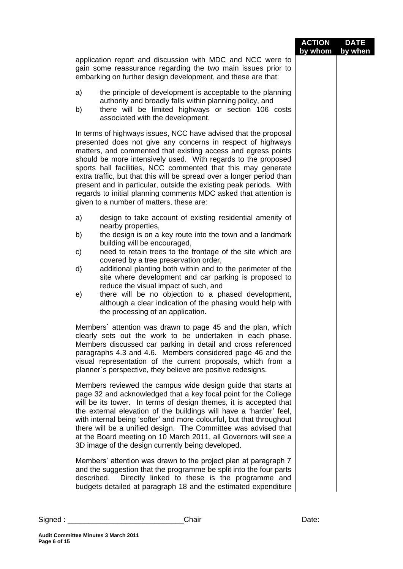| application report and discussion with MDC and NCC were to<br>gain some reassurance regarding the two main issues prior to<br>embarking on further design development, and these are that:<br>a)<br>the principle of development is acceptable to the planning<br>authority and broadly falls within planning policy, and<br>there will be limited highways or section 106 costs<br>b)<br>associated with the development.<br>In terms of highways issues, NCC have advised that the proposal<br>presented does not give any concerns in respect of highways<br>matters, and commented that existing access and egress points<br>should be more intensively used. With regards to the proposed<br>sports hall facilities, NCC commented that this may generate<br>extra traffic, but that this will be spread over a longer period than<br>present and in particular, outside the existing peak periods. With<br>regards to initial planning comments MDC asked that attention is<br>given to a number of matters, these are:<br>a)<br>design to take account of existing residential amenity of<br>nearby properties,<br>the design is on a key route into the town and a landmark<br>b)<br>building will be encouraged,<br>need to retain trees to the frontage of the site which are<br>C)<br>covered by a tree preservation order,<br>additional planting both within and to the perimeter of the<br>d)<br>site where development and car parking is proposed to<br>reduce the visual impact of such, and<br>there will be no objection to a phased development,<br>e)<br>although a clear indication of the phasing would help with<br>the processing of an application.<br>Members' attention was drawn to page 45 and the plan, which<br>clearly sets out the work to be undertaken in each phase.<br>Members discussed car parking in detail and cross referenced<br>paragraphs 4.3 and 4.6. Members considered page 46 and the<br>visual representation of the current proposals, which from a<br>planner's perspective, they believe are positive redesigns.<br>Members reviewed the campus wide design guide that starts at<br>page 32 and acknowledged that a key focal point for the College<br>will be its tower. In terms of design themes, it is accepted that<br>the external elevation of the buildings will have a 'harder' feel,<br>with internal being 'softer' and more colourful, but that throughout<br>there will be a unified design. The Committee was advised that<br>at the Board meeting on 10 March 2011, all Governors will see a<br>3D image of the design currently being developed.<br>Members' attention was drawn to the project plan at paragraph 7<br>and the suggestion that the programme be split into the four parts<br>Directly linked to these is the programme and<br>described.<br>budgets detailed at paragraph 18 and the estimated expenditure |  | <b>ACTION</b><br>by whom | <b>DATE</b><br>by when |
|--------------------------------------------------------------------------------------------------------------------------------------------------------------------------------------------------------------------------------------------------------------------------------------------------------------------------------------------------------------------------------------------------------------------------------------------------------------------------------------------------------------------------------------------------------------------------------------------------------------------------------------------------------------------------------------------------------------------------------------------------------------------------------------------------------------------------------------------------------------------------------------------------------------------------------------------------------------------------------------------------------------------------------------------------------------------------------------------------------------------------------------------------------------------------------------------------------------------------------------------------------------------------------------------------------------------------------------------------------------------------------------------------------------------------------------------------------------------------------------------------------------------------------------------------------------------------------------------------------------------------------------------------------------------------------------------------------------------------------------------------------------------------------------------------------------------------------------------------------------------------------------------------------------------------------------------------------------------------------------------------------------------------------------------------------------------------------------------------------------------------------------------------------------------------------------------------------------------------------------------------------------------------------------------------------------------------------------------------------------------------------------------------------------------------------------------------------------------------------------------------------------------------------------------------------------------------------------------------------------------------------------------------------------------------------------------------------------------------------------------------------------------------------------------------------------------------------------------------------------------------------------------------|--|--------------------------|------------------------|
|                                                                                                                                                                                                                                                                                                                                                                                                                                                                                                                                                                                                                                                                                                                                                                                                                                                                                                                                                                                                                                                                                                                                                                                                                                                                                                                                                                                                                                                                                                                                                                                                                                                                                                                                                                                                                                                                                                                                                                                                                                                                                                                                                                                                                                                                                                                                                                                                                                                                                                                                                                                                                                                                                                                                                                                                                                                                                                  |  |                          |                        |
|                                                                                                                                                                                                                                                                                                                                                                                                                                                                                                                                                                                                                                                                                                                                                                                                                                                                                                                                                                                                                                                                                                                                                                                                                                                                                                                                                                                                                                                                                                                                                                                                                                                                                                                                                                                                                                                                                                                                                                                                                                                                                                                                                                                                                                                                                                                                                                                                                                                                                                                                                                                                                                                                                                                                                                                                                                                                                                  |  |                          |                        |
|                                                                                                                                                                                                                                                                                                                                                                                                                                                                                                                                                                                                                                                                                                                                                                                                                                                                                                                                                                                                                                                                                                                                                                                                                                                                                                                                                                                                                                                                                                                                                                                                                                                                                                                                                                                                                                                                                                                                                                                                                                                                                                                                                                                                                                                                                                                                                                                                                                                                                                                                                                                                                                                                                                                                                                                                                                                                                                  |  |                          |                        |
|                                                                                                                                                                                                                                                                                                                                                                                                                                                                                                                                                                                                                                                                                                                                                                                                                                                                                                                                                                                                                                                                                                                                                                                                                                                                                                                                                                                                                                                                                                                                                                                                                                                                                                                                                                                                                                                                                                                                                                                                                                                                                                                                                                                                                                                                                                                                                                                                                                                                                                                                                                                                                                                                                                                                                                                                                                                                                                  |  |                          |                        |
|                                                                                                                                                                                                                                                                                                                                                                                                                                                                                                                                                                                                                                                                                                                                                                                                                                                                                                                                                                                                                                                                                                                                                                                                                                                                                                                                                                                                                                                                                                                                                                                                                                                                                                                                                                                                                                                                                                                                                                                                                                                                                                                                                                                                                                                                                                                                                                                                                                                                                                                                                                                                                                                                                                                                                                                                                                                                                                  |  |                          |                        |
|                                                                                                                                                                                                                                                                                                                                                                                                                                                                                                                                                                                                                                                                                                                                                                                                                                                                                                                                                                                                                                                                                                                                                                                                                                                                                                                                                                                                                                                                                                                                                                                                                                                                                                                                                                                                                                                                                                                                                                                                                                                                                                                                                                                                                                                                                                                                                                                                                                                                                                                                                                                                                                                                                                                                                                                                                                                                                                  |  |                          |                        |
|                                                                                                                                                                                                                                                                                                                                                                                                                                                                                                                                                                                                                                                                                                                                                                                                                                                                                                                                                                                                                                                                                                                                                                                                                                                                                                                                                                                                                                                                                                                                                                                                                                                                                                                                                                                                                                                                                                                                                                                                                                                                                                                                                                                                                                                                                                                                                                                                                                                                                                                                                                                                                                                                                                                                                                                                                                                                                                  |  |                          |                        |
|                                                                                                                                                                                                                                                                                                                                                                                                                                                                                                                                                                                                                                                                                                                                                                                                                                                                                                                                                                                                                                                                                                                                                                                                                                                                                                                                                                                                                                                                                                                                                                                                                                                                                                                                                                                                                                                                                                                                                                                                                                                                                                                                                                                                                                                                                                                                                                                                                                                                                                                                                                                                                                                                                                                                                                                                                                                                                                  |  |                          |                        |
|                                                                                                                                                                                                                                                                                                                                                                                                                                                                                                                                                                                                                                                                                                                                                                                                                                                                                                                                                                                                                                                                                                                                                                                                                                                                                                                                                                                                                                                                                                                                                                                                                                                                                                                                                                                                                                                                                                                                                                                                                                                                                                                                                                                                                                                                                                                                                                                                                                                                                                                                                                                                                                                                                                                                                                                                                                                                                                  |  |                          |                        |
|                                                                                                                                                                                                                                                                                                                                                                                                                                                                                                                                                                                                                                                                                                                                                                                                                                                                                                                                                                                                                                                                                                                                                                                                                                                                                                                                                                                                                                                                                                                                                                                                                                                                                                                                                                                                                                                                                                                                                                                                                                                                                                                                                                                                                                                                                                                                                                                                                                                                                                                                                                                                                                                                                                                                                                                                                                                                                                  |  |                          |                        |
|                                                                                                                                                                                                                                                                                                                                                                                                                                                                                                                                                                                                                                                                                                                                                                                                                                                                                                                                                                                                                                                                                                                                                                                                                                                                                                                                                                                                                                                                                                                                                                                                                                                                                                                                                                                                                                                                                                                                                                                                                                                                                                                                                                                                                                                                                                                                                                                                                                                                                                                                                                                                                                                                                                                                                                                                                                                                                                  |  |                          |                        |
|                                                                                                                                                                                                                                                                                                                                                                                                                                                                                                                                                                                                                                                                                                                                                                                                                                                                                                                                                                                                                                                                                                                                                                                                                                                                                                                                                                                                                                                                                                                                                                                                                                                                                                                                                                                                                                                                                                                                                                                                                                                                                                                                                                                                                                                                                                                                                                                                                                                                                                                                                                                                                                                                                                                                                                                                                                                                                                  |  |                          |                        |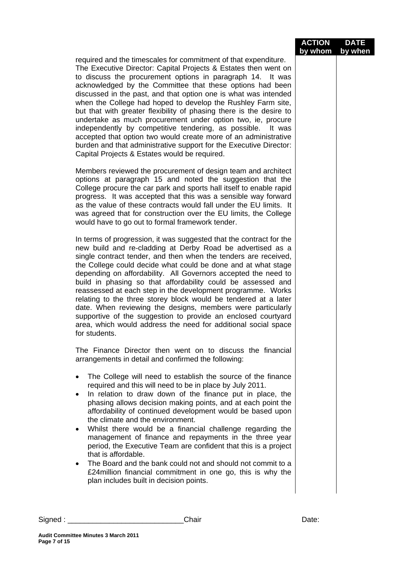|                        |                                                                                                                                                                                                                                                                                                                                                                                                                                                                                                                                                                                                                                                                                                                                                                                                 | <b>ACTION</b><br>by whom | <b>DATE</b><br>by when |
|------------------------|-------------------------------------------------------------------------------------------------------------------------------------------------------------------------------------------------------------------------------------------------------------------------------------------------------------------------------------------------------------------------------------------------------------------------------------------------------------------------------------------------------------------------------------------------------------------------------------------------------------------------------------------------------------------------------------------------------------------------------------------------------------------------------------------------|--------------------------|------------------------|
|                        | required and the timescales for commitment of that expenditure.<br>The Executive Director: Capital Projects & Estates then went on<br>to discuss the procurement options in paragraph 14. It was<br>acknowledged by the Committee that these options had been<br>discussed in the past, and that option one is what was intended<br>when the College had hoped to develop the Rushley Farm site,<br>but that with greater flexibility of phasing there is the desire to<br>undertake as much procurement under option two, ie, procure<br>independently by competitive tendering, as possible. It was<br>accepted that option two would create more of an administrative<br>burden and that administrative support for the Executive Director:<br>Capital Projects & Estates would be required. |                          |                        |
|                        | Members reviewed the procurement of design team and architect<br>options at paragraph 15 and noted the suggestion that the<br>College procure the car park and sports hall itself to enable rapid<br>progress. It was accepted that this was a sensible way forward<br>as the value of these contracts would fall under the EU limits. It<br>was agreed that for construction over the EU limits, the College<br>would have to go out to formal framework tender.                                                                                                                                                                                                                                                                                                                               |                          |                        |
|                        | In terms of progression, it was suggested that the contract for the<br>new build and re-cladding at Derby Road be advertised as a<br>single contract tender, and then when the tenders are received,<br>the College could decide what could be done and at what stage<br>depending on affordability. All Governors accepted the need to<br>build in phasing so that affordability could be assessed and<br>reassessed at each step in the development programme. Works<br>relating to the three storey block would be tendered at a later<br>date. When reviewing the designs, members were particularly<br>supportive of the suggestion to provide an enclosed courtyard<br>area, which would address the need for additional social space<br>for students.                                    |                          |                        |
|                        | The Finance Director then went on to discuss the financial<br>arrangements in detail and confirmed the following:                                                                                                                                                                                                                                                                                                                                                                                                                                                                                                                                                                                                                                                                               |                          |                        |
| $\bullet$<br>$\bullet$ | The College will need to establish the source of the finance<br>required and this will need to be in place by July 2011.<br>In relation to draw down of the finance put in place, the<br>phasing allows decision making points, and at each point the<br>affordability of continued development would be based upon<br>the climate and the environment.                                                                                                                                                                                                                                                                                                                                                                                                                                         |                          |                        |
|                        | Whilst there would be a financial challenge regarding the<br>management of finance and repayments in the three year<br>period, the Executive Team are confident that this is a project<br>that is affordable.                                                                                                                                                                                                                                                                                                                                                                                                                                                                                                                                                                                   |                          |                        |
| $\bullet$              | The Board and the bank could not and should not commit to a<br>£24 million financial commitment in one go, this is why the<br>plan includes built in decision points.                                                                                                                                                                                                                                                                                                                                                                                                                                                                                                                                                                                                                           |                          |                        |
|                        |                                                                                                                                                                                                                                                                                                                                                                                                                                                                                                                                                                                                                                                                                                                                                                                                 |                          |                        |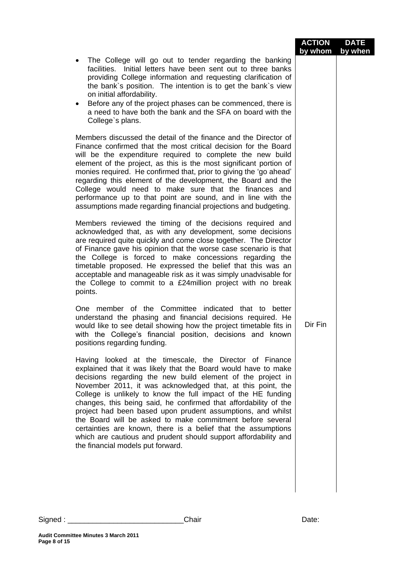|                                                                                                                                                                                                                                                                                                                                                                                                                                                                                                                                                                                                                                                                                                                                                                                                                                                                                                                                                                                                                                                                                                                                                                                                                                                                                                                                                                                                                                                                                                                                                                                                                                                                                                                                                                                                                                                                                                                                                                                                                                                                                                                                                     | <b>ACTION</b><br>by whom | <b>DATE</b><br>by when |
|-----------------------------------------------------------------------------------------------------------------------------------------------------------------------------------------------------------------------------------------------------------------------------------------------------------------------------------------------------------------------------------------------------------------------------------------------------------------------------------------------------------------------------------------------------------------------------------------------------------------------------------------------------------------------------------------------------------------------------------------------------------------------------------------------------------------------------------------------------------------------------------------------------------------------------------------------------------------------------------------------------------------------------------------------------------------------------------------------------------------------------------------------------------------------------------------------------------------------------------------------------------------------------------------------------------------------------------------------------------------------------------------------------------------------------------------------------------------------------------------------------------------------------------------------------------------------------------------------------------------------------------------------------------------------------------------------------------------------------------------------------------------------------------------------------------------------------------------------------------------------------------------------------------------------------------------------------------------------------------------------------------------------------------------------------------------------------------------------------------------------------------------------------|--------------------------|------------------------|
| The College will go out to tender regarding the banking<br>facilities. Initial letters have been sent out to three banks<br>providing College information and requesting clarification of<br>the bank's position. The intention is to get the bank's view<br>on initial affordability.<br>Before any of the project phases can be commenced, there is<br>$\bullet$<br>a need to have both the bank and the SFA on board with the<br>College's plans.                                                                                                                                                                                                                                                                                                                                                                                                                                                                                                                                                                                                                                                                                                                                                                                                                                                                                                                                                                                                                                                                                                                                                                                                                                                                                                                                                                                                                                                                                                                                                                                                                                                                                                |                          |                        |
| Members discussed the detail of the finance and the Director of<br>Finance confirmed that the most critical decision for the Board<br>will be the expenditure required to complete the new build<br>element of the project, as this is the most significant portion of<br>monies required. He confirmed that, prior to giving the 'go ahead'<br>regarding this element of the development, the Board and the<br>College would need to make sure that the finances and<br>performance up to that point are sound, and in line with the<br>assumptions made regarding financial projections and budgeting.<br>Members reviewed the timing of the decisions required and<br>acknowledged that, as with any development, some decisions<br>are required quite quickly and come close together. The Director<br>of Finance gave his opinion that the worse case scenario is that<br>the College is forced to make concessions regarding the<br>timetable proposed. He expressed the belief that this was an<br>acceptable and manageable risk as it was simply unadvisable for<br>the College to commit to a £24million project with no break<br>points.<br>One member of the Committee indicated that to better<br>understand the phasing and financial decisions required. He<br>would like to see detail showing how the project timetable fits in<br>with the College's financial position, decisions and known<br>positions regarding funding.<br>Having looked at the timescale, the Director of Finance<br>explained that it was likely that the Board would have to make<br>decisions regarding the new build element of the project in<br>November 2011, it was acknowledged that, at this point, the<br>College is unlikely to know the full impact of the HE funding<br>changes, this being said, he confirmed that affordability of the<br>project had been based upon prudent assumptions, and whilst<br>the Board will be asked to make commitment before several<br>certainties are known, there is a belief that the assumptions<br>which are cautious and prudent should support affordability and<br>the financial models put forward. | Dir Fin                  |                        |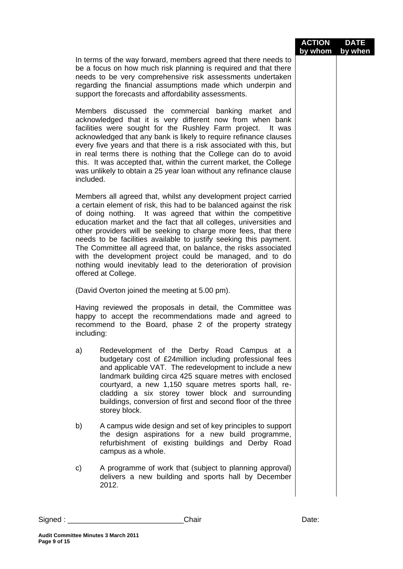|            |                                                                                                                                                                                                                                                                                                                                                                                                                                                                                                                                                                                                                                             | <b>ACTION</b><br>by whom | <b>DATE</b><br>by when |
|------------|---------------------------------------------------------------------------------------------------------------------------------------------------------------------------------------------------------------------------------------------------------------------------------------------------------------------------------------------------------------------------------------------------------------------------------------------------------------------------------------------------------------------------------------------------------------------------------------------------------------------------------------------|--------------------------|------------------------|
|            | In terms of the way forward, members agreed that there needs to<br>be a focus on how much risk planning is required and that there<br>needs to be very comprehensive risk assessments undertaken<br>regarding the financial assumptions made which underpin and<br>support the forecasts and affordability assessments.                                                                                                                                                                                                                                                                                                                     |                          |                        |
| included.  | Members discussed the commercial banking market and<br>acknowledged that it is very different now from when bank<br>facilities were sought for the Rushley Farm project. It was<br>acknowledged that any bank is likely to require refinance clauses<br>every five years and that there is a risk associated with this, but<br>in real terms there is nothing that the College can do to avoid<br>this. It was accepted that, within the current market, the College<br>was unlikely to obtain a 25 year loan without any refinance clause                                                                                                  |                          |                        |
|            | Members all agreed that, whilst any development project carried<br>a certain element of risk, this had to be balanced against the risk<br>of doing nothing. It was agreed that within the competitive<br>education market and the fact that all colleges, universities and<br>other providers will be seeking to charge more fees, that there<br>needs to be facilities available to justify seeking this payment.<br>The Committee all agreed that, on balance, the risks associated<br>with the development project could be managed, and to do<br>nothing would inevitably lead to the deterioration of provision<br>offered at College. |                          |                        |
|            | (David Overton joined the meeting at 5.00 pm).                                                                                                                                                                                                                                                                                                                                                                                                                                                                                                                                                                                              |                          |                        |
| including: | Having reviewed the proposals in detail, the Committee was<br>happy to accept the recommendations made and agreed to<br>recommend to the Board, phase 2 of the property strategy                                                                                                                                                                                                                                                                                                                                                                                                                                                            |                          |                        |
| a)         | Redevelopment of the Derby Road Campus at a<br>budgetary cost of £24 million including professional fees<br>and applicable VAT. The redevelopment to include a new<br>landmark building circa 425 square metres with enclosed<br>courtyard, a new 1,150 square metres sports hall, re-<br>cladding a six storey tower block and surrounding<br>buildings, conversion of first and second floor of the three<br>storey block.                                                                                                                                                                                                                |                          |                        |
| b)         | A campus wide design and set of key principles to support<br>the design aspirations for a new build programme,<br>refurbishment of existing buildings and Derby Road<br>campus as a whole.                                                                                                                                                                                                                                                                                                                                                                                                                                                  |                          |                        |
| C)         | A programme of work that (subject to planning approval)<br>delivers a new building and sports hall by December<br>2012.                                                                                                                                                                                                                                                                                                                                                                                                                                                                                                                     |                          |                        |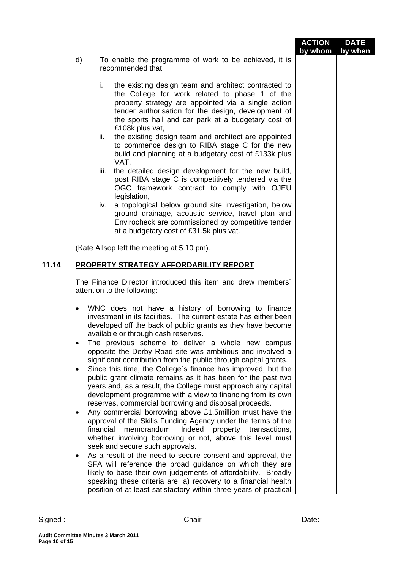|               |                                  |                                                                                                                                                                                                                                                                                                                                                                                                                                                                                                                                                                                                                                                                                                                                                                                                                                                                                                                                                                                                                                                                                                                                                                                                                                                                                                                                                                      | <b>ACTION</b><br>by whom | <b>DATE</b><br>by when |
|---------------|----------------------------------|----------------------------------------------------------------------------------------------------------------------------------------------------------------------------------------------------------------------------------------------------------------------------------------------------------------------------------------------------------------------------------------------------------------------------------------------------------------------------------------------------------------------------------------------------------------------------------------------------------------------------------------------------------------------------------------------------------------------------------------------------------------------------------------------------------------------------------------------------------------------------------------------------------------------------------------------------------------------------------------------------------------------------------------------------------------------------------------------------------------------------------------------------------------------------------------------------------------------------------------------------------------------------------------------------------------------------------------------------------------------|--------------------------|------------------------|
|               | d)                               | To enable the programme of work to be achieved, it is<br>recommended that:                                                                                                                                                                                                                                                                                                                                                                                                                                                                                                                                                                                                                                                                                                                                                                                                                                                                                                                                                                                                                                                                                                                                                                                                                                                                                           |                          |                        |
|               |                                  | i.<br>the existing design team and architect contracted to<br>the College for work related to phase 1 of the<br>property strategy are appointed via a single action<br>tender authorisation for the design, development of<br>the sports hall and car park at a budgetary cost of<br>£108k plus vat,<br>the existing design team and architect are appointed<br>ii.<br>to commence design to RIBA stage C for the new<br>build and planning at a budgetary cost of £133k plus<br>VAT,<br>the detailed design development for the new build,<br>iii.<br>post RIBA stage C is competitively tendered via the<br>OGC framework contract to comply with OJEU<br>legislation,<br>a topological below ground site investigation, below<br>iv.<br>ground drainage, acoustic service, travel plan and<br>Envirocheck are commissioned by competitive tender<br>at a budgetary cost of £31.5k plus vat.                                                                                                                                                                                                                                                                                                                                                                                                                                                                       |                          |                        |
|               |                                  | (Kate Allsop left the meeting at 5.10 pm).                                                                                                                                                                                                                                                                                                                                                                                                                                                                                                                                                                                                                                                                                                                                                                                                                                                                                                                                                                                                                                                                                                                                                                                                                                                                                                                           |                          |                        |
| 11.14         |                                  | <b>PROPERTY STRATEGY AFFORDABILITY REPORT</b>                                                                                                                                                                                                                                                                                                                                                                                                                                                                                                                                                                                                                                                                                                                                                                                                                                                                                                                                                                                                                                                                                                                                                                                                                                                                                                                        |                          |                        |
|               |                                  | The Finance Director introduced this item and drew members'<br>attention to the following:                                                                                                                                                                                                                                                                                                                                                                                                                                                                                                                                                                                                                                                                                                                                                                                                                                                                                                                                                                                                                                                                                                                                                                                                                                                                           |                          |                        |
|               | ٠<br>٠<br>$\bullet$<br>$\bullet$ | WNC does not have a history of borrowing to finance<br>investment in its facilities. The current estate has either been<br>developed off the back of public grants as they have become<br>available or through cash reserves.<br>The previous scheme to deliver a whole new campus<br>opposite the Derby Road site was ambitious and involved a<br>significant contribution from the public through capital grants.<br>Since this time, the College's finance has improved, but the<br>public grant climate remains as it has been for the past two<br>years and, as a result, the College must approach any capital<br>development programme with a view to financing from its own<br>reserves, commercial borrowing and disposal proceeds.<br>Any commercial borrowing above £1.5million must have the<br>approval of the Skills Funding Agency under the terms of the<br>financial<br>memorandum. Indeed property transactions,<br>whether involving borrowing or not, above this level must<br>seek and secure such approvals.<br>As a result of the need to secure consent and approval, the<br>SFA will reference the broad guidance on which they are<br>likely to base their own judgements of affordability. Broadly<br>speaking these criteria are; a) recovery to a financial health<br>position of at least satisfactory within three years of practical |                          |                        |
|               |                                  | Chair<br>Signed : _______________________                                                                                                                                                                                                                                                                                                                                                                                                                                                                                                                                                                                                                                                                                                                                                                                                                                                                                                                                                                                                                                                                                                                                                                                                                                                                                                                            | Date:                    |                        |
| Page 10 of 15 |                                  | <b>Audit Committee Minutes 3 March 2011</b>                                                                                                                                                                                                                                                                                                                                                                                                                                                                                                                                                                                                                                                                                                                                                                                                                                                                                                                                                                                                                                                                                                                                                                                                                                                                                                                          |                          |                        |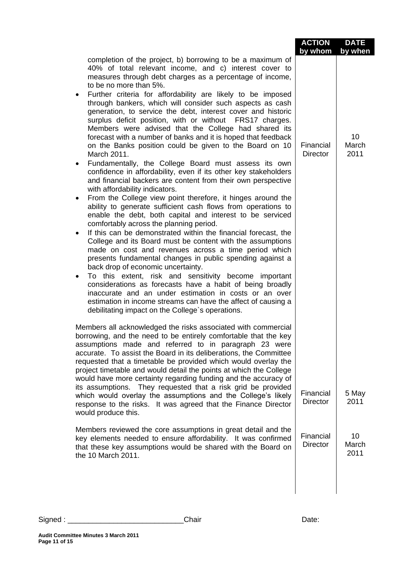|                                                                                                                                                                                                                                                                                                                                                                                                                                                                                                                                                                                                                                                                                                                                                                                                                                                       | <b>ACTION</b><br>by whom     | <b>DATE</b><br>by when |
|-------------------------------------------------------------------------------------------------------------------------------------------------------------------------------------------------------------------------------------------------------------------------------------------------------------------------------------------------------------------------------------------------------------------------------------------------------------------------------------------------------------------------------------------------------------------------------------------------------------------------------------------------------------------------------------------------------------------------------------------------------------------------------------------------------------------------------------------------------|------------------------------|------------------------|
| completion of the project, b) borrowing to be a maximum of<br>40% of total relevant income, and c) interest cover to<br>measures through debt charges as a percentage of income,<br>to be no more than 5%.<br>Further criteria for affordability are likely to be imposed<br>$\bullet$<br>through bankers, which will consider such aspects as cash<br>generation, to service the debt, interest cover and historic<br>surplus deficit position, with or without FRS17 charges.<br>Members were advised that the College had shared its<br>forecast with a number of banks and it is hoped that feedback<br>on the Banks position could be given to the Board on 10<br>March 2011.                                                                                                                                                                    | Financial<br><b>Director</b> | 10<br>March<br>2011    |
| Fundamentally, the College Board must assess its own<br>٠<br>confidence in affordability, even if its other key stakeholders<br>and financial backers are content from their own perspective<br>with affordability indicators.                                                                                                                                                                                                                                                                                                                                                                                                                                                                                                                                                                                                                        |                              |                        |
| From the College view point therefore, it hinges around the<br>٠<br>ability to generate sufficient cash flows from operations to<br>enable the debt, both capital and interest to be serviced<br>comfortably across the planning period.<br>If this can be demonstrated within the financial forecast, the<br>College and its Board must be content with the assumptions<br>made on cost and revenues across a time period which<br>presents fundamental changes in public spending against a<br>back drop of economic uncertainty.<br>To this extent, risk and sensitivity become important<br>$\bullet$<br>considerations as forecasts have a habit of being broadly<br>inaccurate and an under estimation in costs or an over<br>estimation in income streams can have the affect of causing a<br>debilitating impact on the College's operations. |                              |                        |
| Members all acknowledged the risks associated with commercial<br>borrowing, and the need to be entirely comfortable that the key<br>assumptions made and referred to in paragraph 23 were<br>accurate. To assist the Board in its deliberations, the Committee<br>requested that a timetable be provided which would overlay the<br>project timetable and would detail the points at which the College<br>would have more certainty regarding funding and the accuracy of<br>its assumptions. They requested that a risk grid be provided<br>which would overlay the assumptions and the College's likely                                                                                                                                                                                                                                             | Financial                    | 5 May                  |
| response to the risks. It was agreed that the Finance Director<br>would produce this.                                                                                                                                                                                                                                                                                                                                                                                                                                                                                                                                                                                                                                                                                                                                                                 | <b>Director</b>              | 2011                   |
| Members reviewed the core assumptions in great detail and the<br>key elements needed to ensure affordability. It was confirmed<br>that these key assumptions would be shared with the Board on<br>the 10 March 2011.                                                                                                                                                                                                                                                                                                                                                                                                                                                                                                                                                                                                                                  | Financial<br><b>Director</b> | 10<br>March<br>2011    |

Signed : \_\_\_\_\_\_\_\_\_\_\_\_\_\_\_\_\_\_\_\_\_\_\_\_\_\_\_\_Chair Date: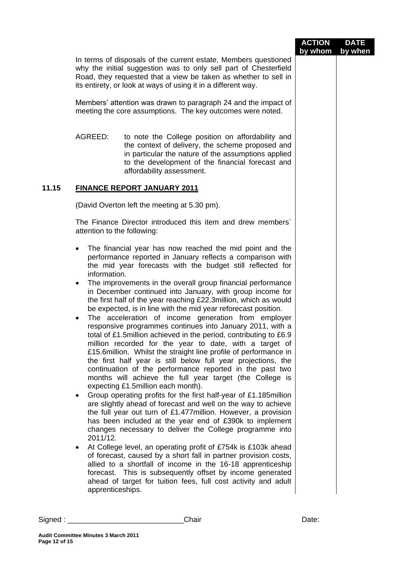|        |                                                                                                                                                                                                                                                                                                                                                                                                                                                                                                                                                                                                                                                                                                                                                                                                                                                                                                                                                                                                                                                                                                                                                                                                                                                                                                                                                                                                                                                                                                                                                                                                                                                                                                                                                                  |                                                                                                                                                                                                                                                                         | <b>ACTION</b><br>by whom | <b>DATE</b><br>by when |
|--------|------------------------------------------------------------------------------------------------------------------------------------------------------------------------------------------------------------------------------------------------------------------------------------------------------------------------------------------------------------------------------------------------------------------------------------------------------------------------------------------------------------------------------------------------------------------------------------------------------------------------------------------------------------------------------------------------------------------------------------------------------------------------------------------------------------------------------------------------------------------------------------------------------------------------------------------------------------------------------------------------------------------------------------------------------------------------------------------------------------------------------------------------------------------------------------------------------------------------------------------------------------------------------------------------------------------------------------------------------------------------------------------------------------------------------------------------------------------------------------------------------------------------------------------------------------------------------------------------------------------------------------------------------------------------------------------------------------------------------------------------------------------|-------------------------------------------------------------------------------------------------------------------------------------------------------------------------------------------------------------------------------------------------------------------------|--------------------------|------------------------|
|        |                                                                                                                                                                                                                                                                                                                                                                                                                                                                                                                                                                                                                                                                                                                                                                                                                                                                                                                                                                                                                                                                                                                                                                                                                                                                                                                                                                                                                                                                                                                                                                                                                                                                                                                                                                  | In terms of disposals of the current estate, Members questioned<br>why the initial suggestion was to only sell part of Chesterfield<br>Road, they requested that a view be taken as whether to sell in<br>its entirety, or look at ways of using it in a different way. |                          |                        |
|        |                                                                                                                                                                                                                                                                                                                                                                                                                                                                                                                                                                                                                                                                                                                                                                                                                                                                                                                                                                                                                                                                                                                                                                                                                                                                                                                                                                                                                                                                                                                                                                                                                                                                                                                                                                  | Members' attention was drawn to paragraph 24 and the impact of<br>meeting the core assumptions. The key outcomes were noted.                                                                                                                                            |                          |                        |
|        | AGREED:                                                                                                                                                                                                                                                                                                                                                                                                                                                                                                                                                                                                                                                                                                                                                                                                                                                                                                                                                                                                                                                                                                                                                                                                                                                                                                                                                                                                                                                                                                                                                                                                                                                                                                                                                          | to note the College position on affordability and<br>the context of delivery, the scheme proposed and<br>in particular the nature of the assumptions applied<br>to the development of the financial forecast and<br>affordability assessment.                           |                          |                        |
| 11.15  |                                                                                                                                                                                                                                                                                                                                                                                                                                                                                                                                                                                                                                                                                                                                                                                                                                                                                                                                                                                                                                                                                                                                                                                                                                                                                                                                                                                                                                                                                                                                                                                                                                                                                                                                                                  | <b>FINANCE REPORT JANUARY 2011</b>                                                                                                                                                                                                                                      |                          |                        |
|        | (David Overton left the meeting at 5.30 pm).                                                                                                                                                                                                                                                                                                                                                                                                                                                                                                                                                                                                                                                                                                                                                                                                                                                                                                                                                                                                                                                                                                                                                                                                                                                                                                                                                                                                                                                                                                                                                                                                                                                                                                                     |                                                                                                                                                                                                                                                                         |                          |                        |
|        | The Finance Director introduced this item and drew members'<br>attention to the following:                                                                                                                                                                                                                                                                                                                                                                                                                                                                                                                                                                                                                                                                                                                                                                                                                                                                                                                                                                                                                                                                                                                                                                                                                                                                                                                                                                                                                                                                                                                                                                                                                                                                       |                                                                                                                                                                                                                                                                         |                          |                        |
|        | The financial year has now reached the mid point and the<br>performance reported in January reflects a comparison with<br>the mid year forecasts with the budget still reflected for<br>information.<br>The improvements in the overall group financial performance<br>٠<br>in December continued into January, with group income for<br>the first half of the year reaching £22.3 million, which as would<br>be expected, is in line with the mid year reforecast position.<br>The acceleration of income generation from employer<br>$\bullet$<br>responsive programmes continues into January 2011, with a<br>total of £1.5 million achieved in the period, contributing to £6.9<br>million recorded for the year to date, with a target of<br>£15.6 million. Whilst the straight line profile of performance in<br>the first half year is still below full year projections, the<br>continuation of the performance reported in the past two<br>months will achieve the full year target (the College is<br>expecting £1.5 million each month).<br>Group operating profits for the first half-year of £1.185 million<br>are slightly ahead of forecast and well on the way to achieve<br>the full year out turn of £1.477 million. However, a provision<br>has been included at the year end of £390k to implement<br>changes necessary to deliver the College programme into<br>2011/12.<br>At College level, an operating profit of £754k is £103k ahead<br>$\bullet$<br>of forecast, caused by a short fall in partner provision costs,<br>allied to a shortfall of income in the 16-18 apprenticeship<br>forecast. This is subsequently offset by income generated<br>ahead of target for tuition fees, full cost activity and adult<br>apprenticeships. |                                                                                                                                                                                                                                                                         |                          |                        |
| Sigma: |                                                                                                                                                                                                                                                                                                                                                                                                                                                                                                                                                                                                                                                                                                                                                                                                                                                                                                                                                                                                                                                                                                                                                                                                                                                                                                                                                                                                                                                                                                                                                                                                                                                                                                                                                                  | Chair                                                                                                                                                                                                                                                                   | Date:                    |                        |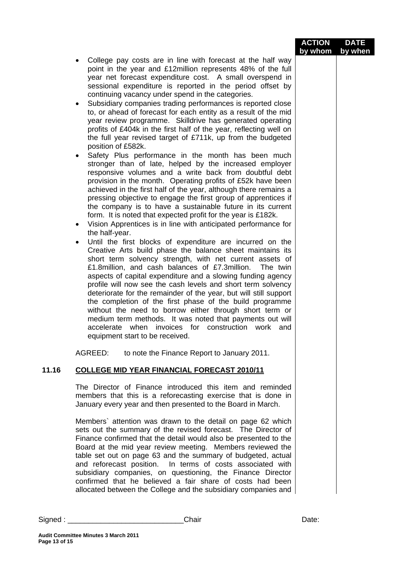| <b>ACTION</b>   | <b>DATE</b> |
|-----------------|-------------|
| by whom by when |             |

- College pay costs are in line with forecast at the half way point in the year and £12million represents 48% of the full year net forecast expenditure cost. A small overspend in sessional expenditure is reported in the period offset by continuing vacancy under spend in the categories.
- Subsidiary companies trading performances is reported close to, or ahead of forecast for each entity as a result of the mid year review programme. Skilldrive has generated operating profits of £404k in the first half of the year, reflecting well on the full year revised target of £711k, up from the budgeted position of £582k.
- Safety Plus performance in the month has been much stronger than of late, helped by the increased employer responsive volumes and a write back from doubtful debt provision in the month. Operating profits of £52k have been achieved in the first half of the year, although there remains a pressing objective to engage the first group of apprentices if the company is to have a sustainable future in its current form. It is noted that expected profit for the year is £182k.
- Vision Apprentices is in line with anticipated performance for the half-year.
- Until the first blocks of expenditure are incurred on the Creative Arts build phase the balance sheet maintains its short term solvency strength, with net current assets of £1.8million, and cash balances of £7.3million. The twin aspects of capital expenditure and a slowing funding agency profile will now see the cash levels and short term solvency deteriorate for the remainder of the year, but will still support the completion of the first phase of the build programme without the need to borrow either through short term or medium term methods. It was noted that payments out will accelerate when invoices for construction work and equipment start to be received.

AGREED: to note the Finance Report to January 2011.

## **11.16 COLLEGE MID YEAR FINANCIAL FORECAST 2010/11**

The Director of Finance introduced this item and reminded members that this is a reforecasting exercise that is done in January every year and then presented to the Board in March.

Members` attention was drawn to the detail on page 62 which sets out the summary of the revised forecast. The Director of Finance confirmed that the detail would also be presented to the Board at the mid year review meeting. Members reviewed the table set out on page 63 and the summary of budgeted, actual and reforecast position. In terms of costs associated with subsidiary companies, on questioning, the Finance Director confirmed that he believed a fair share of costs had been allocated between the College and the subsidiary companies and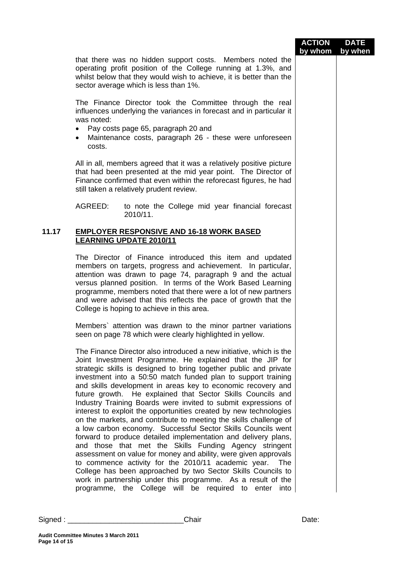|       |                                                                                                                                                                                                                                                                                                                                                                                                                                                                                                                                                                                                                                                                                                                                                                                                                                                                                                                                                                                                                                                                                                                                      | <b>ACTION</b> | <b>DATE</b> |
|-------|--------------------------------------------------------------------------------------------------------------------------------------------------------------------------------------------------------------------------------------------------------------------------------------------------------------------------------------------------------------------------------------------------------------------------------------------------------------------------------------------------------------------------------------------------------------------------------------------------------------------------------------------------------------------------------------------------------------------------------------------------------------------------------------------------------------------------------------------------------------------------------------------------------------------------------------------------------------------------------------------------------------------------------------------------------------------------------------------------------------------------------------|---------------|-------------|
|       | that there was no hidden support costs. Members noted the<br>operating profit position of the College running at 1.3%, and<br>whilst below that they would wish to achieve, it is better than the<br>sector average which is less than 1%.                                                                                                                                                                                                                                                                                                                                                                                                                                                                                                                                                                                                                                                                                                                                                                                                                                                                                           | by whom       | by when     |
|       | The Finance Director took the Committee through the real<br>influences underlying the variances in forecast and in particular it<br>was noted:<br>Pay costs page 65, paragraph 20 and<br>٠<br>Maintenance costs, paragraph 26 - these were unforeseen<br>$\bullet$<br>costs.                                                                                                                                                                                                                                                                                                                                                                                                                                                                                                                                                                                                                                                                                                                                                                                                                                                         |               |             |
|       | All in all, members agreed that it was a relatively positive picture<br>that had been presented at the mid year point. The Director of<br>Finance confirmed that even within the reforecast figures, he had<br>still taken a relatively prudent review.                                                                                                                                                                                                                                                                                                                                                                                                                                                                                                                                                                                                                                                                                                                                                                                                                                                                              |               |             |
|       | AGREED:<br>to note the College mid year financial forecast<br>2010/11.                                                                                                                                                                                                                                                                                                                                                                                                                                                                                                                                                                                                                                                                                                                                                                                                                                                                                                                                                                                                                                                               |               |             |
| 11.17 | <b>EMPLOYER RESPONSIVE AND 16-18 WORK BASED</b><br><b>LEARNING UPDATE 2010/11</b>                                                                                                                                                                                                                                                                                                                                                                                                                                                                                                                                                                                                                                                                                                                                                                                                                                                                                                                                                                                                                                                    |               |             |
|       | The Director of Finance introduced this item and updated<br>members on targets, progress and achievement. In particular,<br>attention was drawn to page 74, paragraph 9 and the actual<br>versus planned position. In terms of the Work Based Learning<br>programme, members noted that there were a lot of new partners<br>and were advised that this reflects the pace of growth that the<br>College is hoping to achieve in this area.                                                                                                                                                                                                                                                                                                                                                                                                                                                                                                                                                                                                                                                                                            |               |             |
|       | Members' attention was drawn to the minor partner variations<br>seen on page 78 which were clearly highlighted in yellow.                                                                                                                                                                                                                                                                                                                                                                                                                                                                                                                                                                                                                                                                                                                                                                                                                                                                                                                                                                                                            |               |             |
|       | The Finance Director also introduced a new initiative, which is the<br>Joint Investment Programme. He explained that the JIP for<br>strategic skills is designed to bring together public and private<br>investment into a 50:50 match funded plan to support training<br>and skills development in areas key to economic recovery and<br>future growth. He explained that Sector Skills Councils and<br>Industry Training Boards were invited to submit expressions of<br>interest to exploit the opportunities created by new technologies<br>on the markets, and contribute to meeting the skills challenge of<br>a low carbon economy. Successful Sector Skills Councils went<br>forward to produce detailed implementation and delivery plans,<br>and those that met the Skills Funding Agency stringent<br>assessment on value for money and ability, were given approvals<br>to commence activity for the 2010/11 academic year. The<br>College has been approached by two Sector Skills Councils to<br>work in partnership under this programme. As a result of the<br>programme, the College will be required to enter into |               |             |
|       | Chair                                                                                                                                                                                                                                                                                                                                                                                                                                                                                                                                                                                                                                                                                                                                                                                                                                                                                                                                                                                                                                                                                                                                | Date:         |             |